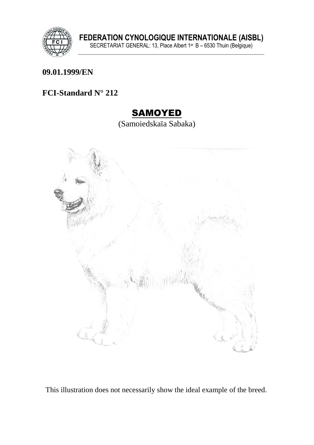

#### **09.01.1999/EN**

## **FCI-Standard N° 212**

## SAMOYED

(Samoiedskaïa Sabaka)



This illustration does not necessarily show the ideal example of the breed.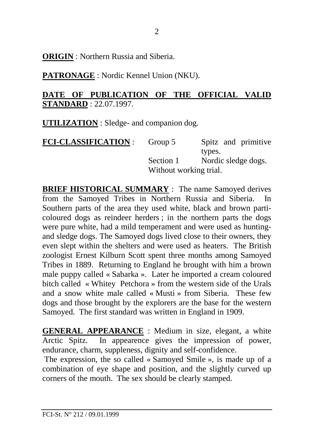**ORIGIN** : Northern Russia and Siberia.

**PATRONAGE** : Nordic Kennel Union (NKU).

#### **DATE OF PUBLICATION OF THE OFFICIAL VALID STANDARD** : 22.07.1997.

**UTILIZATION** : Sledge- and companion dog.

| <b>FCI-CLASSIFICATION :</b> | Group 5                | Spitz and primitive |
|-----------------------------|------------------------|---------------------|
|                             |                        | types.              |
|                             | Section 1              | Nordic sledge dogs. |
|                             | Without working trial. |                     |

**BRIEF HISTORICAL SUMMARY** : The name Samoyed derives from the Samoyed Tribes in Northern Russia and Siberia. In Southern parts of the area they used white, black and brown particoloured dogs as reindeer herders ; in the northern parts the dogs were pure white, had a mild temperament and were used as huntingand sledge dogs. The Samoyed dogs lived close to their owners, they even slept within the shelters and were used as heaters. The British zoologist Ernest Kilburn Scott spent three months among Samoyed Tribes in 1889. Returning to England he brought with him a brown male puppy called « Sabarka ». Later he imported a cream coloured bitch called « Whitey Petchora » from the western side of the Urals and a snow white male called « Musti » from Siberia. These few dogs and those brought by the explorers are the base for the western Samoyed. The first standard was written in England in 1909.

**GENERAL APPEARANCE** : Medium in size, elegant, a white Arctic Spitz. In appearence gives the impression of power, endurance, charm, suppleness, dignity and self-confidence.

 The expression, the so called « Samoyed Smile », is made up of a combination of eye shape and position, and the slightly curved up corners of the mouth. The sex should be clearly stamped.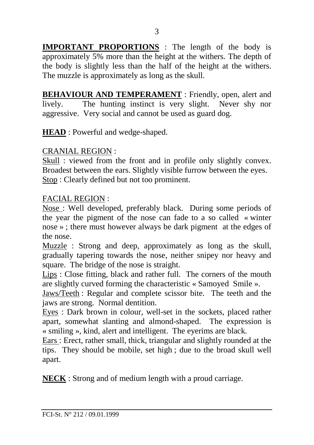**IMPORTANT PROPORTIONS** : The length of the body is approximately 5% more than the height at the withers. The depth of the body is slightly less than the half of the height at the withers. The muzzle is approximately as long as the skull.

**BEHAVIOUR AND TEMPERAMENT**: Friendly, open, alert and lively. The hunting instinct is very slight. Never shy nor aggressive. Very social and cannot be used as guard dog.

**HEAD** : Powerful and wedge-shaped.

CRANIAL REGION :

Skull : viewed from the front and in profile only slightly convex. Broadest between the ears. Slightly visible furrow between the eyes. Stop : Clearly defined but not too prominent.

FACIAL REGION :

Nose : Well developed, preferably black. During some periods of the year the pigment of the nose can fade to a so called « winter nose » ; there must however always be dark pigment at the edges of the nose.

Muzzle : Strong and deep, approximately as long as the skull, gradually tapering towards the nose, neither snipey nor heavy and square. The bridge of the nose is straight.

Lips : Close fitting, black and rather full. The corners of the mouth are slightly curved forming the characteristic « Samoyed Smile ».

Jaws/Teeth : Regular and complete scissor bite. The teeth and the jaws are strong. Normal dentition.

Eyes : Dark brown in colour, well-set in the sockets, placed rather apart, somewhat slanting and almond-shaped. The expression is « smiling », kind, alert and intelligent. The eyerims are black.

Ears : Erect, rather small, thick, triangular and slightly rounded at the tips. They should be mobile, set high ; due to the broad skull well apart.

**NECK** : Strong and of medium length with a proud carriage.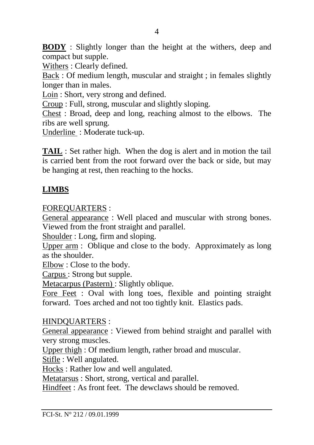**BODY** : Slightly longer than the height at the withers, deep and compact but supple.

Withers : Clearly defined.

Back : Of medium length, muscular and straight ; in females slightly longer than in males.

Loin : Short, very strong and defined.

Croup : Full, strong, muscular and slightly sloping.

Chest : Broad, deep and long, reaching almost to the elbows. The ribs are well sprung.

Underline : Moderate tuck-up.

**TAIL** : Set rather high. When the dog is alert and in motion the tail is carried bent from the root forward over the back or side, but may be hanging at rest, then reaching to the hocks.

#### **LIMBS**

FOREQUARTERS :

General appearance : Well placed and muscular with strong bones. Viewed from the front straight and parallel.

Shoulder : Long, firm and sloping.

Upper arm : Oblique and close to the body. Approximately as long as the shoulder.

Elbow : Close to the body.

Carpus : Strong but supple.

Metacarpus (Pastern) : Slightly oblique.

Fore Feet : Oval with long toes, flexible and pointing straight forward. Toes arched and not too tightly knit. Elastics pads.

#### HINDQUARTERS :

General appearance : Viewed from behind straight and parallel with very strong muscles.

Upper thigh : Of medium length, rather broad and muscular.

Stifle : Well angulated.

Hocks : Rather low and well angulated.

Metatarsus : Short, strong, vertical and parallel.

Hindfeet : As front feet. The dewclaws should be removed.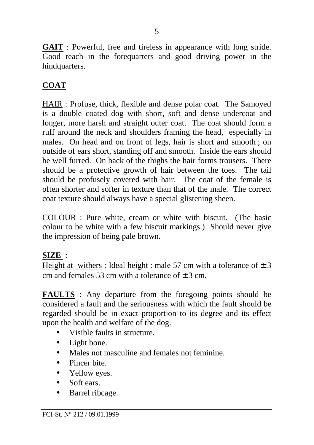**GAIT** : Powerful, free and tireless in appearance with long stride. Good reach in the forequarters and good driving power in the hindquarters.

## **COAT**

HAIR : Profuse, thick, flexible and dense polar coat. The Samoyed is a double coated dog with short, soft and dense undercoat and longer, more harsh and straight outer coat. The coat should form a ruff around the neck and shoulders framing the head, especially in males. On head and on front of legs, hair is short and smooth ; on outside of ears short, standing off and smooth. Inside the ears should be well furred. On back of the thighs the hair forms trousers. There should be a protective growth of hair between the toes. The tail should be profusely covered with hair. The coat of the female is often shorter and softer in texture than that of the male. The correct coat texture should always have a special glistening sheen.

COLOUR : Pure white, cream or white with biscuit. (The basic colour to be white with a few biscuit markings.) Should never give the impression of being pale brown.

#### **SIZE** :

Height at withers : Ideal height : male 57 cm with a tolerance of  $\pm 3$ cm and females 53 cm with a tolerance of  $\pm$  3 cm.

**FAULTS** : Any departure from the foregoing points should be considered a fault and the seriousness with which the fault should be regarded should be in exact proportion to its degree and its effect upon the health and welfare of the dog.

- Visible faults in structure.
- Light bone.
- Males not masculine and females not feminine.
- Pincer bite.
- Yellow eyes.
- Soft ears.
- Barrel ribcage.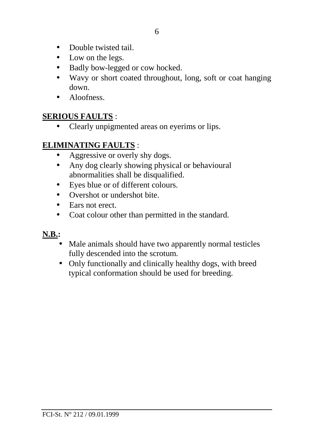- Double twisted tail
- Low on the legs.
- Badly bow-legged or cow hocked.
- Wavy or short coated throughout, long, soft or coat hanging down.
- Aloofness

### **SERIOUS FAULTS** :

• Clearly unpigmented areas on eyerims or lips.

## **ELIMINATING FAULTS** :

- Aggressive or overly shy dogs.
- Any dog clearly showing physical or behavioural abnormalities shall be disqualified.
- Eyes blue or of different colours.
- Overshot or undershot bite.
- Ears not erect.
- Coat colour other than permitted in the standard.

## **N.B.:**

- Male animals should have two apparently normal testicles fully descended into the scrotum.
- Only functionally and clinically healthy dogs, with breed typical conformation should be used for breeding.